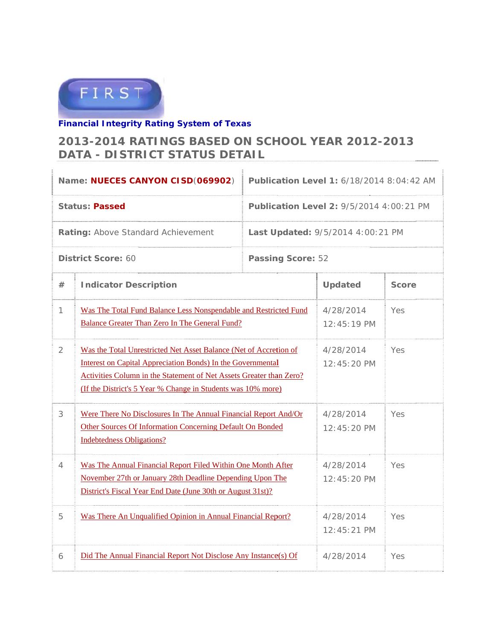

## **Financial Integrity Rating System of Texas**

## 2013-2014 RATINGS BASED ON SCHOOL YEAR 2012-2013 DATA - DISTRICT STATUS DETAIL

|                                    | Name: NUECES CANYON CISD(069902)                                                                                                                                                                                                                                               | Publication Level 1: 6/18/2014 8:04:42 AM       |                            |       |
|------------------------------------|--------------------------------------------------------------------------------------------------------------------------------------------------------------------------------------------------------------------------------------------------------------------------------|-------------------------------------------------|----------------------------|-------|
| <b>Status: Passed</b>              |                                                                                                                                                                                                                                                                                | <b>Publication Level 2: 9/5/2014 4:00:21 PM</b> |                            |       |
| Rating: Above Standard Achievement |                                                                                                                                                                                                                                                                                | Last Updated: 9/5/2014 4:00:21 PM               |                            |       |
| District Score: 60                 |                                                                                                                                                                                                                                                                                | <b>Passing Score: 52</b>                        |                            |       |
| #                                  | <b>Indicator Description</b>                                                                                                                                                                                                                                                   |                                                 | <b>Updated</b>             | Score |
| 1                                  | Was The Total Fund Balance Less Nonspendable and Restricted Fund<br><b>Balance Greater Than Zero In The General Fund?</b>                                                                                                                                                      |                                                 | 4/28/2014<br>$12:45:19$ PM | Yes   |
| $\overline{2}$                     | Was the Total Unrestricted Net Asset Balance (Net of Accretion of<br><b>Interest on Capital Appreciation Bonds) In the Governmental</b><br>Activities Column in the Statement of Net Assets Greater than Zero?<br>(If the District's 5 Year % Change in Students was 10% more) | 4/28/2014<br>$12:45:20 \text{ PM}$              | Yes                        |       |
| 3                                  | Were There No Disclosures In The Annual Financial Report And/Or<br>Other Sources Of Information Concerning Default On Bonded<br><b>Indebtedness Obligations?</b>                                                                                                               | 4/28/2014<br>12:45:20 PM                        | Yes                        |       |
| 4                                  | Was The Annual Financial Report Filed Within One Month After<br>November 27th or January 28th Deadline Depending Upon The<br>District's Fiscal Year End Date (June 30th or August 31st)?                                                                                       |                                                 | 4/28/2014<br>12:45:20 PM   | Yes   |
| 5                                  | Was There An Unqualified Opinion in Annual Financial Report?                                                                                                                                                                                                                   |                                                 | 4/28/2014<br>12:45:21 PM   | Yes   |
| 6                                  | Did The Annual Financial Report Not Disclose Any Instance(s) Of                                                                                                                                                                                                                |                                                 | 4/28/2014                  | Yes   |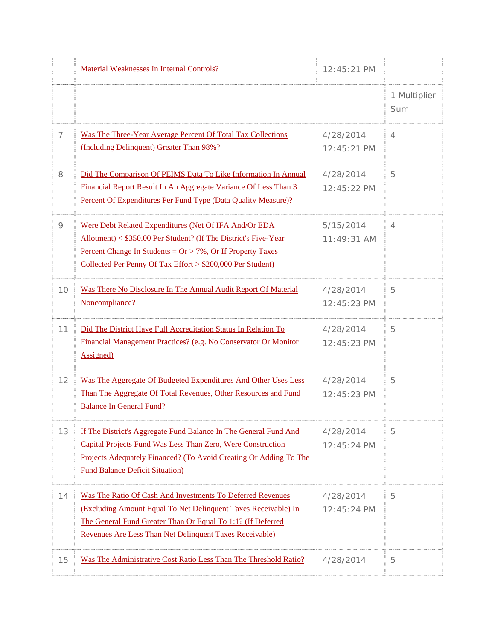|    | Material Weaknesses In Internal Controls?                                                                                                                                                                                                                                    | 12:45:21 PM                |                     |
|----|------------------------------------------------------------------------------------------------------------------------------------------------------------------------------------------------------------------------------------------------------------------------------|----------------------------|---------------------|
|    |                                                                                                                                                                                                                                                                              |                            | 1 Multiplier<br>Sum |
| 7  | Was The Three-Year Average Percent Of Total Tax Collections<br>(Including Delinquent) Greater Than 98%?                                                                                                                                                                      | 4/28/2014<br>$12:45:21$ PM | 4                   |
| 8  | Did The Comparison Of PEIMS Data To Like Information In Annual<br>Financial Report Result In An Aggregate Variance Of Less Than 3<br>Percent Of Expenditures Per Fund Type (Data Quality Measure)?                                                                           | 4/28/2014<br>12:45:22 PM   | 5                   |
| 9  | Were Debt Related Expenditures (Net Of IFA And/Or EDA<br>Allotment) < \$350.00 Per Student? (If The District's Five-Year<br><u>Percent Change In Students = <math>Or &gt; 7\%</math>, Or If Property Taxes</u><br>Collected Per Penny Of Tax Effort > \$200,000 Per Student) | 5/15/2014<br>$11:49:31$ AM | 4                   |
| 10 | Was There No Disclosure In The Annual Audit Report Of Material<br>Noncompliance?                                                                                                                                                                                             | 4/28/2014<br>$12:45:23$ PM | 5                   |
| 11 | Did The District Have Full Accreditation Status In Relation To<br>Financial Management Practices? (e.g. No Conservator Or Monitor<br><b>Assigned</b> )                                                                                                                       | 4/28/2014<br>12:45:23 PM   | 5                   |
| 12 | Was The Aggregate Of Budgeted Expenditures And Other Uses Less<br>Than The Aggregate Of Total Revenues, Other Resources and Fund<br><b>Balance In General Fund?</b>                                                                                                          | 4/28/2014<br>12:45:23 PM   | 5                   |
| 13 | If The District's Aggregate Fund Balance In The General Fund And<br>Capital Projects Fund Was Less Than Zero, Were Construction<br>Projects Adequately Financed? (To Avoid Creating Or Adding To The<br><b>Fund Balance Deficit Situation</b> )                              | 4/28/2014<br>$12:45:24$ PM | 5                   |
| 14 | Was The Ratio Of Cash And Investments To Deferred Revenues<br>(Excluding Amount Equal To Net Delinquent Taxes Receivable) In<br>The General Fund Greater Than Or Equal To 1:1? (If Deferred<br>Revenues Are Less Than Net Delinquent Taxes Receivable)                       | 4/28/2014<br>$12:45:24$ PM | 5                   |
| 15 | Was The Administrative Cost Ratio Less Than The Threshold Ratio?                                                                                                                                                                                                             | 4/28/2014                  | 5                   |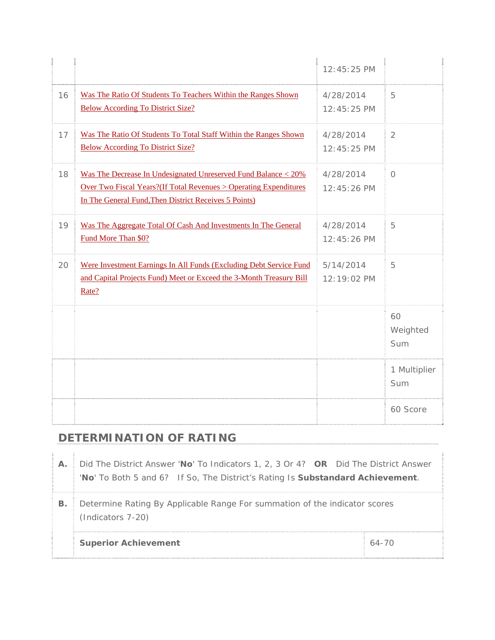|    |                                                                                                                                                                                               | 12:45:25 PM                |                       |
|----|-----------------------------------------------------------------------------------------------------------------------------------------------------------------------------------------------|----------------------------|-----------------------|
| 16 | Was The Ratio Of Students To Teachers Within the Ranges Shown<br><b>Below According To District Size?</b>                                                                                     | 4/28/2014<br>12:45:25 PM   | 5                     |
| 17 | Was The Ratio Of Students To Total Staff Within the Ranges Shown<br><b>Below According To District Size?</b>                                                                                  | 4/28/2014<br>12:45:25 PM   | $\overline{2}$        |
| 18 | Was The Decrease In Undesignated Unreserved Fund Balance < 20%<br>Over Two Fiscal Years? (If Total Revenues > Operating Expenditures<br>In The General Fund, Then District Receives 5 Points) | 4/28/2014<br>$12:45:26$ PM | $\bigcap$             |
| 19 | Was The Aggregate Total Of Cash And Investments In The General<br>Fund More Than \$0?                                                                                                         | 4/28/2014<br>12:45:26 PM   | 5                     |
| 20 | Were Investment Earnings In All Funds (Excluding Debt Service Fund<br>and Capital Projects Fund) Meet or Exceed the 3-Month Treasury Bill<br>Rate?                                            | 5/14/2014<br>12:19:02 PM   | 5                     |
|    |                                                                                                                                                                                               |                            | 60<br>Weighted<br>Sum |
|    |                                                                                                                                                                                               |                            | 1 Multiplier<br>Sum   |
|    |                                                                                                                                                                                               |                            | 60 Score              |

## **DETERMINATION OF RATING**

| Α. | Did The District Answer 'No' To Indicators 1, 2, 3 Or 4? OR Did The District Answer<br>'No' To Both 5 and 6? If So, The District's Rating Is Substandard Achievement. |           |  |  |
|----|-----------------------------------------------------------------------------------------------------------------------------------------------------------------------|-----------|--|--|
| В. | Determine Rating By Applicable Range For summation of the indicator scores<br>(Indicators 7-20)                                                                       |           |  |  |
|    | <b>Superior Achievement</b>                                                                                                                                           | $64 - 70$ |  |  |